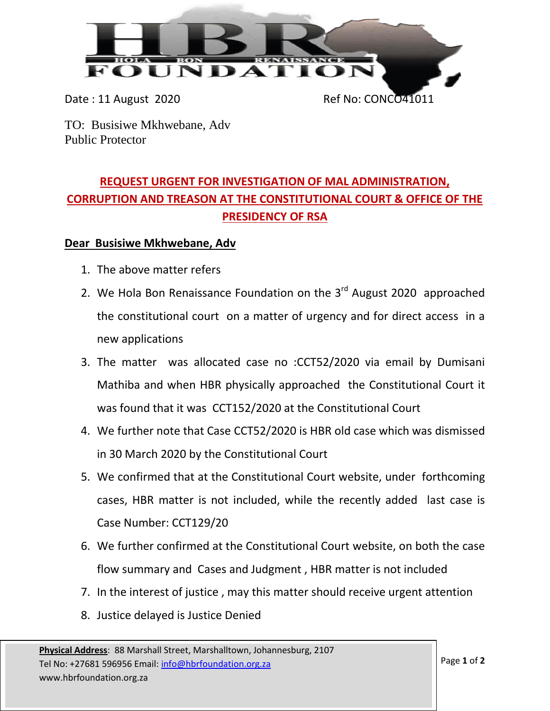

Date: 11 August 2020 Ref No: CONCO41011

TO: Busisiwe Mkhwebane, Adv Public Protector

## **REQUEST URGENT FOR INVESTIGATION OF MAL ADMINISTRATION, CORRUPTION AND TREASON AT THE CONSTITUTIONAL COURT & OFFICE OF THE PRESIDENCY OF RSA**

## **Dear Busisiwe Mkhwebane, Adv**

- 1. The above matter refers
- 2. We Hola Bon Renaissance Foundation on the  $3<sup>rd</sup>$  August 2020 approached the constitutional court on a matter of urgency and for direct access in a new applications
- 3. The matter was allocated case no :CCT52/2020 via email by Dumisani Mathiba and when HBR physically approached the Constitutional Court it was found that it was CCT152/2020 at the Constitutional Court
- 4. We further note that Case CCT52/2020 is HBR old case which was dismissed in 30 March 2020 by the Constitutional Court
- 5. We confirmed that at the Constitutional Court website, under forthcoming cases, HBR matter is not included, while the recently added last case is Case Number: CCT129/20
- 6. We further confirmed at the Constitutional Court website, on both the case flow summary and Cases and Judgment , HBR matter is not included
- 7. In the interest of justice , may this matter should receive urgent attention
- 8. Justice delayed is Justice Denied